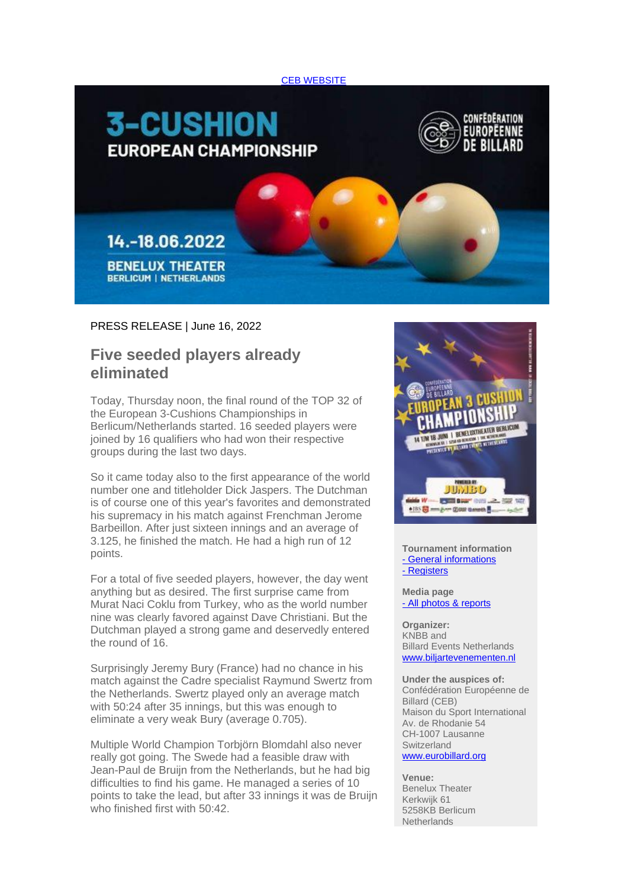



## PRESS RELEASE | June 16, 2022

## **Five seeded players already eliminated**

Today, Thursday noon, the final round of the TOP 32 of the European 3-Cushions Championships in Berlicum/Netherlands started. 16 seeded players were joined by 16 qualifiers who had won their respective groups during the last two days.

So it came today also to the first appearance of the world number one and titleholder Dick Jaspers. The Dutchman is of course one of this year's favorites and demonstrated his supremacy in his match against Frenchman Jerome Barbeillon. After just sixteen innings and an average of 3.125, he finished the match. He had a high run of 12 points.

For a total of five seeded players, however, the day went anything but as desired. The first surprise came from Murat Naci Coklu from Turkey, who as the world number nine was clearly favored against Dave Christiani. But the Dutchman played a strong game and deservedly entered the round of 16.

Surprisingly Jeremy Bury (France) had no chance in his match against the Cadre specialist Raymund Swertz from the Netherlands. Swertz played only an average match with 50:24 after 35 innings, but this was enough to eliminate a very weak Bury (average 0.705).

Multiple World Champion Torbjörn Blomdahl also never really got going. The Swede had a feasible draw with Jean-Paul de Bruijn from the Netherlands, but he had big difficulties to find his game. He managed a series of 10 points to take the lead, but after 33 innings it was de Bruijn who finished first with 50:42.



**Tournament information** - [General informations](https://deref-web.de/mail/client/xZ1DuEWp6M8/dereferrer/?redirectUrl=https%3A%2F%2Famxe.net%2Feytp5ow7-udjmsc7p-4u0swu1u-6yp) - [Registers](https://deref-web.de/mail/client/mT-e8h1_L3M/dereferrer/?redirectUrl=https%3A%2F%2Famxe.net%2Feytp5ow7-udjmsc7p-9alaqwfn-17co)

## **Media page** - All [photos & reports](https://deref-web.de/mail/client/g_nkBhkinrc/dereferrer/?redirectUrl=https%3A%2F%2Famxe.net%2Feytp5ow7-udjmsc7p-bfrmxadf-7e1)

**Organizer:** KNBB and Billard Events Netherlands [www.biljartevenementen.nl](https://deref-web.de/mail/client/nHdKTIvznIU/dereferrer/?redirectUrl=https%3A%2F%2Famxe.net%2Feytp5ow7-udjmsc7p-ge3oawra-egu)

**Under the auspices of:** Confédération Européenne de Billard (CEB) Maison du Sport International Av. de Rhodanie 54 CH-1007 Lausanne Switzerland

## [www.eurobillard.org](https://deref-web.de/mail/client/3vhiylxPWCM/dereferrer/?redirectUrl=https%3A%2F%2Famxe.net%2Feytp5ow7-udjmsc7p-ina00e92-s01)

**Venue:** Benelux Theater Kerkwijk 61 5258KB Berlicum **Netherlands**